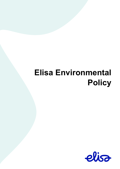# **Elisa Environmental Policy**

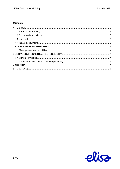# **Contents**

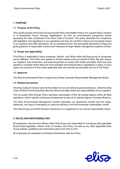# <span id="page-2-0"></span>**1 PURPOSE**

# <span id="page-2-1"></span>**1.1 Purpose of the Policy**

The overall purpose of the *Elisa Environmental Policy* (hereinafter *Policy*) is to support Elisa's mission of *A Sustainable Future Through Digitalisation*, by from an environmental perspective further specifying the rules constituted in the *Elisa Code of Conduct*. This policy describes the compliance with legislation and regulations in our operations and how we commit to reduce environmental impact in our business and other operations. On an operational level, this sets global standards for Elisa and gives guidance of responsible conduct and measures through related management systems of Elisa.

# <span id="page-2-2"></span>**1.2 Scope and applicability**

This Policy is applicable to every employee, director, and officer within the Elisa group of companies and its affiliates. This Policy also applies to all third parties acting on behalf of Elisa. We also require our suppliers, sub-contractors, and external partners to comply with similar principles. Elisa may also operate in countries where there are more stringent environment laws or regulations in place. In such cases, the provisions of the locally applicable laws will override the principles set out in this Policy.

# <span id="page-2-3"></span>**1.3 Approval**

The Elisa Environmental Policy is approved by Elisa corporate Responsibility Management Board.

#### <span id="page-2-4"></span>**1.4 Related documents**

The Elisa Code of Conduct sets the foundation for our own ethical business behaviour, while the *Elisa Code of Ethical Purchasing* describes the ethical and legal duties and responsibilities of our suppliers.

The non-public *Elisa Energy Policy* describes optimisation of the net energy balance within all Elisa operations, which requires continuous development to stay at an optimal degree of energy efficiency.

The *Elisa Environmental Management System* describes our operational context and the scope, objectives, and ways of managing our resource efficiency and environmental sustainability overall.

The *Elisa Energy and GHG Emission Disclosure* is a supplement to our annual responsibility report.

#### <span id="page-2-5"></span>**2 ROLES AND RESPONSIBILITIES**

All employees, directors and officers within Elisa Group are responsible for complying with applicable Environment legislation, Elisa's Code of Conduct, this Policy, as well as any other applicable Elisa Group policies, guidelines and instructions given from time to time.

All employees are expected to familiarize themselves with this Policy.

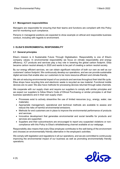# <span id="page-3-0"></span>**2.1 Management responsibilities**

Managers are responsible for ensuring that their teams and functions are compliant with this Policy and for monitoring such compliance.

Persons in managerial positions are expected to show example on ethical and responsible business conduct, including with regards to environment.

# <span id="page-3-1"></span>**3 ELISA'S ENVIRONMENTAL RESPONSIBILITY**

#### <span id="page-3-2"></span>**3.1 General principles**

Elisa's mission is A Sustainable Future Through Digitalisation. Responsibility is one of Elisa's company values. In environmental responsibility we focus on climate responsibility and energy efficiency. ICT products and services play a key role in lowering the global carbon footprint. Elisa became carbon neutral already in 2020 and wants to be part of creating a carbon neutral society.

By our energy efficient services, we can obtain significant reduction of both our own as well as our customers' carbon footprint. We continuously develop our operations, and we can provide sustainable digital services that enable also our customers to be more resource-efficient and climate-friendly.

We aim at reducing environmental impact of our products and services throughout their total life cycle. Elisa shops have recycling bins and electronic waste is recycled as raw material. Functional mobile devices are re-used. We also have methods for processing devices returned through sales channels.

We cooperate with our supply chain and require our suppliers to comply with similar principles and we expect our suppliers to follow Elisa's Code of Ethical Purchasing or similar principles in all their business operations and in their own supply chain:

- Processes exist to actively streamline the use of limited resources (e.g., energy, water, raw materials).
- Appropriate management, operational and technical methods are available to assess and reduce the risks of harmful environmental emissions.
- Methods for end customers are in place to improve the environmental performance of products and services.
- Innovative development that generates environmental and social benefits for products and services are supported.
- Suppliers and their subcontractors are encouraged to report any suspected violations or noncompliance with this Policy to Elisa's whistleblowing channel available at our webpage.

Responsibility also means that every Elisa employee contributes to the well-being of the environment and chooses an environmentally friendly alternative in the employee's activities.

We comply with legislation and regulations in all our operations, and we are committed to continuously improving the environmental impact of our business as well as promoting environmentally friendly operations.